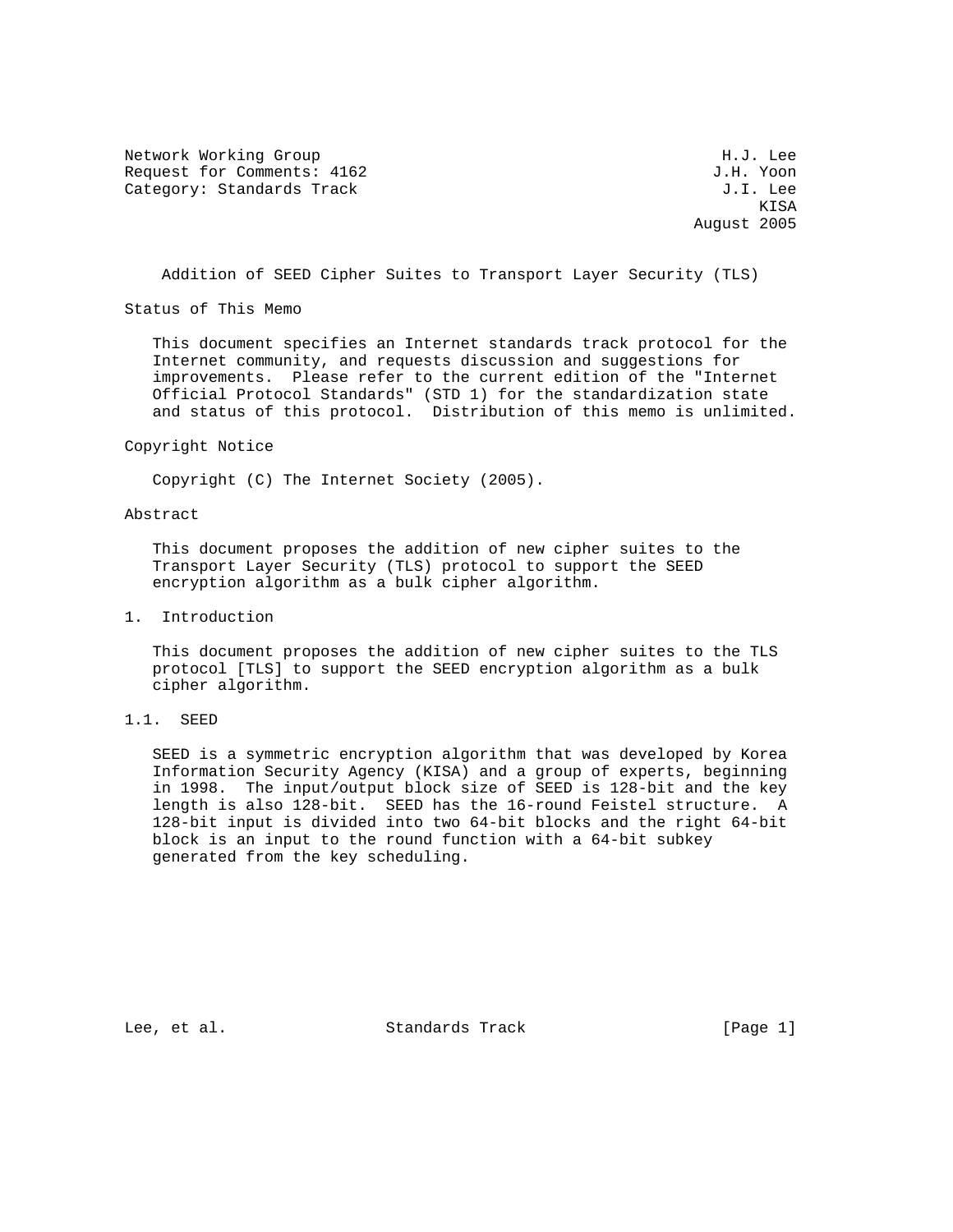Network Working Group Network More Services and Muslim H.J. Lee Request for Comments: 4162 J.H. Yoon Category: Standards Track Gategory: Standards Track J.I. Lee

**KISA** August 2005

Addition of SEED Cipher Suites to Transport Layer Security (TLS)

Status of This Memo

 This document specifies an Internet standards track protocol for the Internet community, and requests discussion and suggestions for improvements. Please refer to the current edition of the "Internet Official Protocol Standards" (STD 1) for the standardization state and status of this protocol. Distribution of this memo is unlimited.

#### Copyright Notice

Copyright (C) The Internet Society (2005).

### Abstract

 This document proposes the addition of new cipher suites to the Transport Layer Security (TLS) protocol to support the SEED encryption algorithm as a bulk cipher algorithm.

### 1. Introduction

 This document proposes the addition of new cipher suites to the TLS protocol [TLS] to support the SEED encryption algorithm as a bulk cipher algorithm.

#### 1.1. SEED

 SEED is a symmetric encryption algorithm that was developed by Korea Information Security Agency (KISA) and a group of experts, beginning in 1998. The input/output block size of SEED is 128-bit and the key length is also 128-bit. SEED has the 16-round Feistel structure. A 128-bit input is divided into two 64-bit blocks and the right 64-bit block is an input to the round function with a 64-bit subkey generated from the key scheduling.

Lee, et al. Standards Track [Page 1]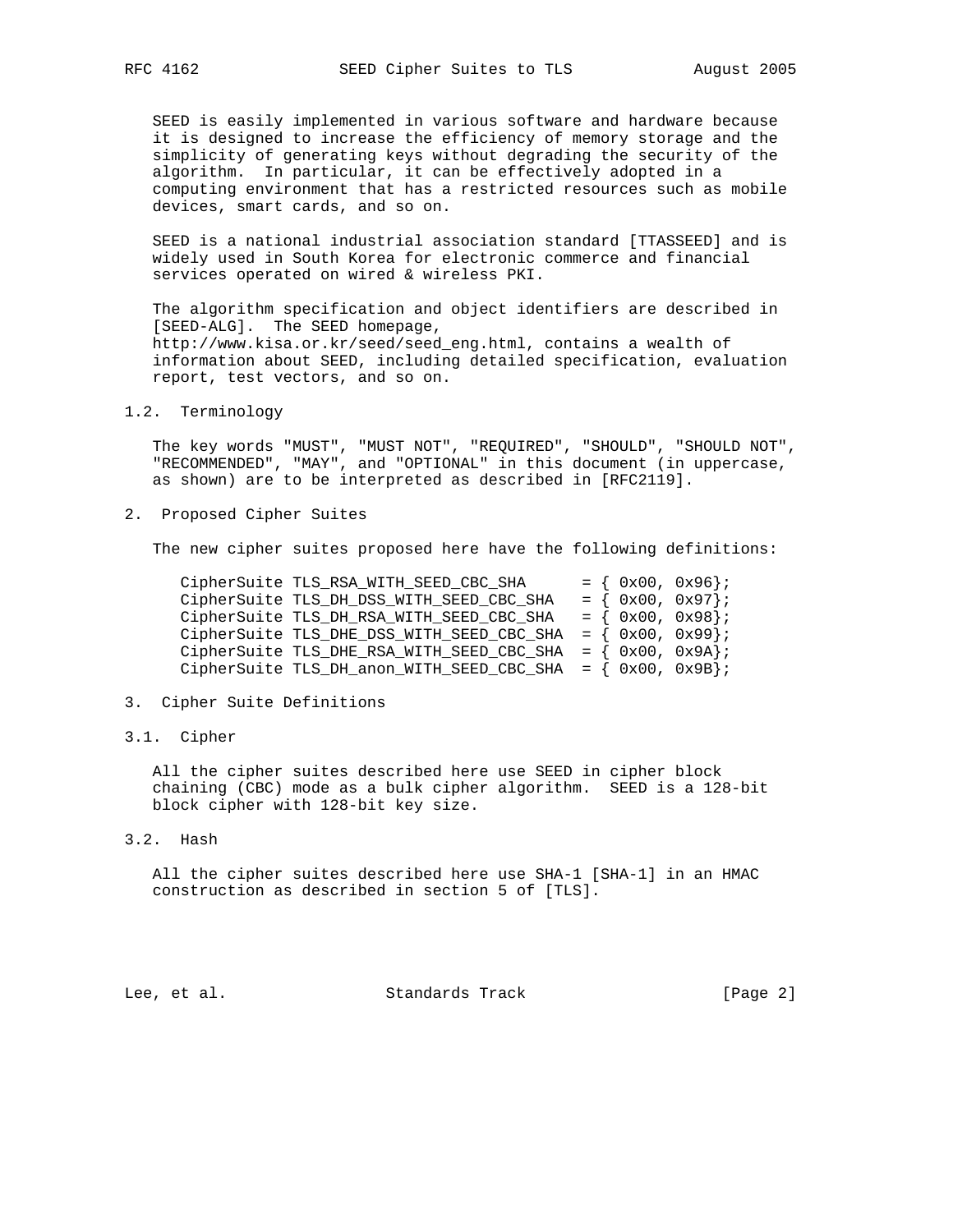SEED is easily implemented in various software and hardware because it is designed to increase the efficiency of memory storage and the simplicity of generating keys without degrading the security of the algorithm. In particular, it can be effectively adopted in a computing environment that has a restricted resources such as mobile devices, smart cards, and so on.

 SEED is a national industrial association standard [TTASSEED] and is widely used in South Korea for electronic commerce and financial services operated on wired & wireless PKI.

 The algorithm specification and object identifiers are described in [SEED-ALG]. The SEED homepage, http://www.kisa.or.kr/seed/seed\_eng.html, contains a wealth of information about SEED, including detailed specification, evaluation report, test vectors, and so on.

# 1.2. Terminology

 The key words "MUST", "MUST NOT", "REQUIRED", "SHOULD", "SHOULD NOT", "RECOMMENDED", "MAY", and "OPTIONAL" in this document (in uppercase, as shown) are to be interpreted as described in [RFC2119].

2. Proposed Cipher Suites

The new cipher suites proposed here have the following definitions:

| CipherSuite TLS RSA WITH SEED CBC SHA                            | $= \{ 0x00, 0x96 \}$  |
|------------------------------------------------------------------|-----------------------|
| CipherSuite TLS_DH_DSS_WITH_SEED_CBC_SHA                         | $= \{ 0x00, 0x97 \};$ |
| CipherSuite TLS_DH_RSA_WITH_SEED_CBC_SHA                         | $= \{ 0x00, 0x98 \}$  |
| CipherSuite TLS_DHE_DSS_WITH_SEED_CBC_SHA                        | $=$ { $0x00, 0x99$ }; |
| CipherSuite TLS_DHE_RSA_WITH_SEED_CBC_SHA = $\{ 0x00, 0x9A \}$ ; |                       |
| CipherSuite TLS_DH_anon_WITH_SEED_CBC_SHA = $\{ 0x00, 0x9B \}$ ; |                       |

## 3. Cipher Suite Definitions

3.1. Cipher

 All the cipher suites described here use SEED in cipher block chaining (CBC) mode as a bulk cipher algorithm. SEED is a 128-bit block cipher with 128-bit key size.

3.2. Hash

 All the cipher suites described here use SHA-1 [SHA-1] in an HMAC construction as described in section 5 of [TLS].

Lee, et al. Standards Track [Page 2]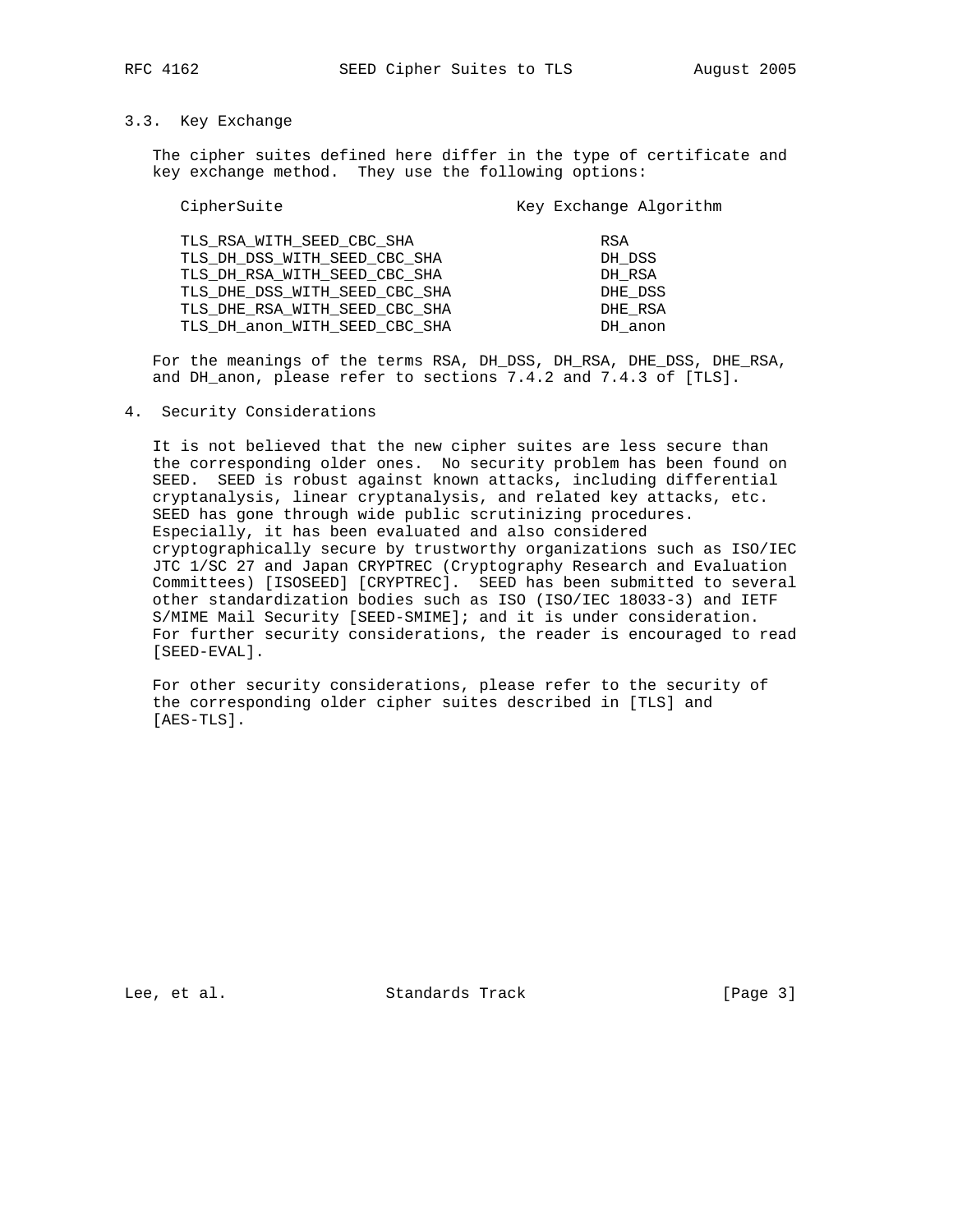# 3.3. Key Exchange

 The cipher suites defined here differ in the type of certificate and key exchange method. They use the following options:

| CipherSuite |                               | Key Exchange Algorithm |         |
|-------------|-------------------------------|------------------------|---------|
|             | TLS RSA WITH SEED CBC SHA     | RSA                    |         |
|             | TLS DH DSS WITH SEED CBC SHA  | DH DSS                 |         |
|             | TLS DH RSA WITH SEED CBC SHA  |                        | DH RSA  |
|             | TLS DHE DSS WITH SEED CBC SHA |                        | DHE DSS |
|             | TLS DHE RSA WITH SEED CBC SHA |                        | DHE RSA |
|             | TLS_DH_anon_WITH_SEED_CBC_SHA |                        | DH anon |

 For the meanings of the terms RSA, DH\_DSS, DH\_RSA, DHE\_DSS, DHE\_RSA, and DH\_anon, please refer to sections 7.4.2 and 7.4.3 of [TLS].

### 4. Security Considerations

 It is not believed that the new cipher suites are less secure than the corresponding older ones. No security problem has been found on SEED. SEED is robust against known attacks, including differential cryptanalysis, linear cryptanalysis, and related key attacks, etc. SEED has gone through wide public scrutinizing procedures. Especially, it has been evaluated and also considered cryptographically secure by trustworthy organizations such as ISO/IEC JTC 1/SC 27 and Japan CRYPTREC (Cryptography Research and Evaluation Committees) [ISOSEED] [CRYPTREC]. SEED has been submitted to several other standardization bodies such as ISO (ISO/IEC 18033-3) and IETF S/MIME Mail Security [SEED-SMIME]; and it is under consideration. For further security considerations, the reader is encouraged to read [SEED-EVAL].

 For other security considerations, please refer to the security of the corresponding older cipher suites described in [TLS] and [AES-TLS].

Lee, et al. Standards Track [Page 3]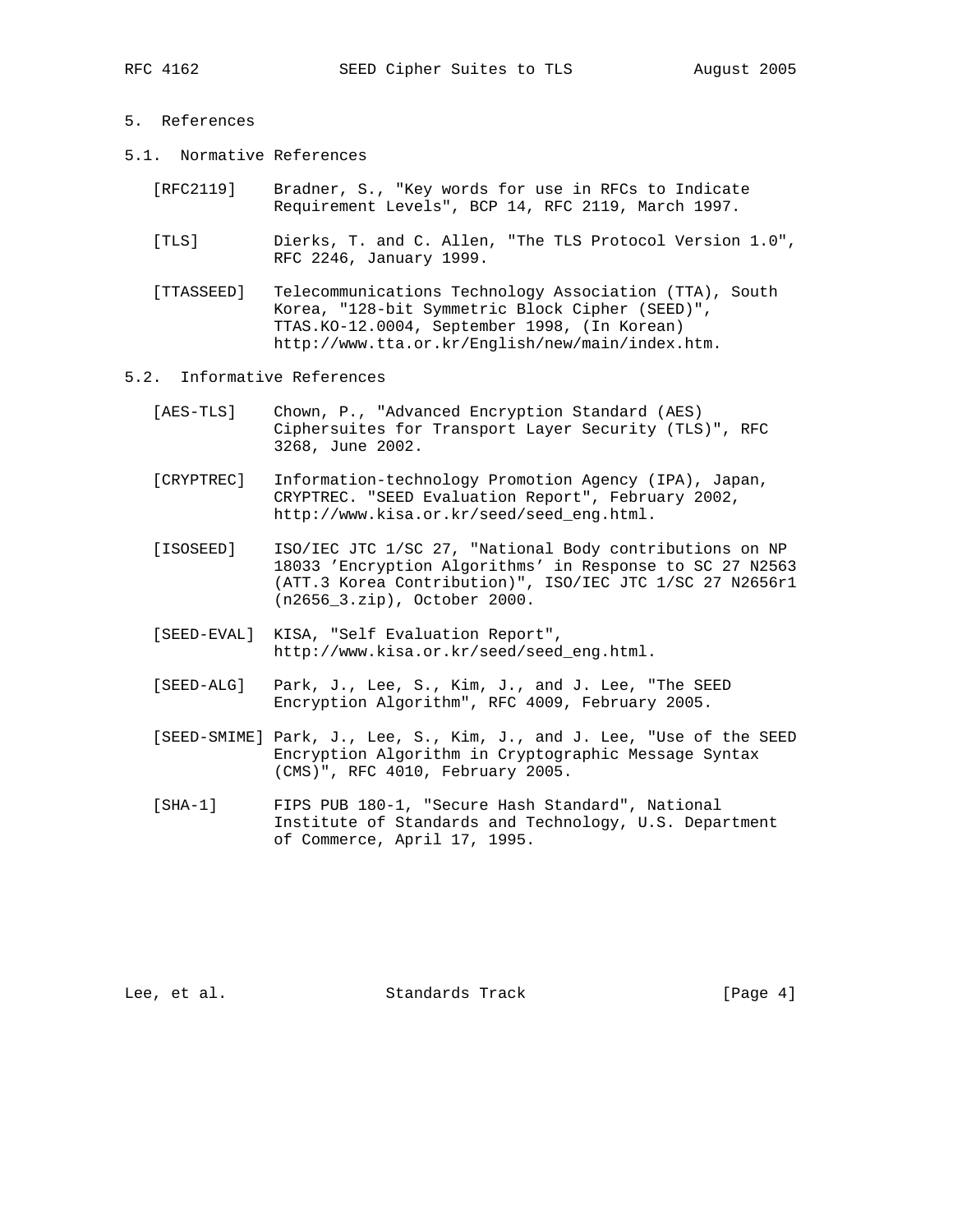- 5. References
- 5.1. Normative References
	- [RFC2119] Bradner, S., "Key words for use in RFCs to Indicate Requirement Levels", BCP 14, RFC 2119, March 1997.
	- [TLS] Dierks, T. and C. Allen, "The TLS Protocol Version 1.0", RFC 2246, January 1999.
	- [TTASSEED] Telecommunications Technology Association (TTA), South Korea, "128-bit Symmetric Block Cipher (SEED)", TTAS.KO-12.0004, September 1998, (In Korean) http://www.tta.or.kr/English/new/main/index.htm.

### 5.2. Informative References

- [AES-TLS] Chown, P., "Advanced Encryption Standard (AES) Ciphersuites for Transport Layer Security (TLS)", RFC 3268, June 2002.
- [CRYPTREC] Information-technology Promotion Agency (IPA), Japan, CRYPTREC. "SEED Evaluation Report", February 2002, http://www.kisa.or.kr/seed/seed\_eng.html.
- [ISOSEED] ISO/IEC JTC 1/SC 27, "National Body contributions on NP 18033 'Encryption Algorithms' in Response to SC 27 N2563 (ATT.3 Korea Contribution)", ISO/IEC JTC 1/SC 27 N2656r1 (n2656\_3.zip), October 2000.
- [SEED-EVAL] KISA, "Self Evaluation Report", http://www.kisa.or.kr/seed/seed\_eng.html.
- [SEED-ALG] Park, J., Lee, S., Kim, J., and J. Lee, "The SEED Encryption Algorithm", RFC 4009, February 2005.
- [SEED-SMIME] Park, J., Lee, S., Kim, J., and J. Lee, "Use of the SEED Encryption Algorithm in Cryptographic Message Syntax (CMS)", RFC 4010, February 2005.
- [SHA-1] FIPS PUB 180-1, "Secure Hash Standard", National Institute of Standards and Technology, U.S. Department of Commerce, April 17, 1995.

Lee, et al. Standards Track [Page 4]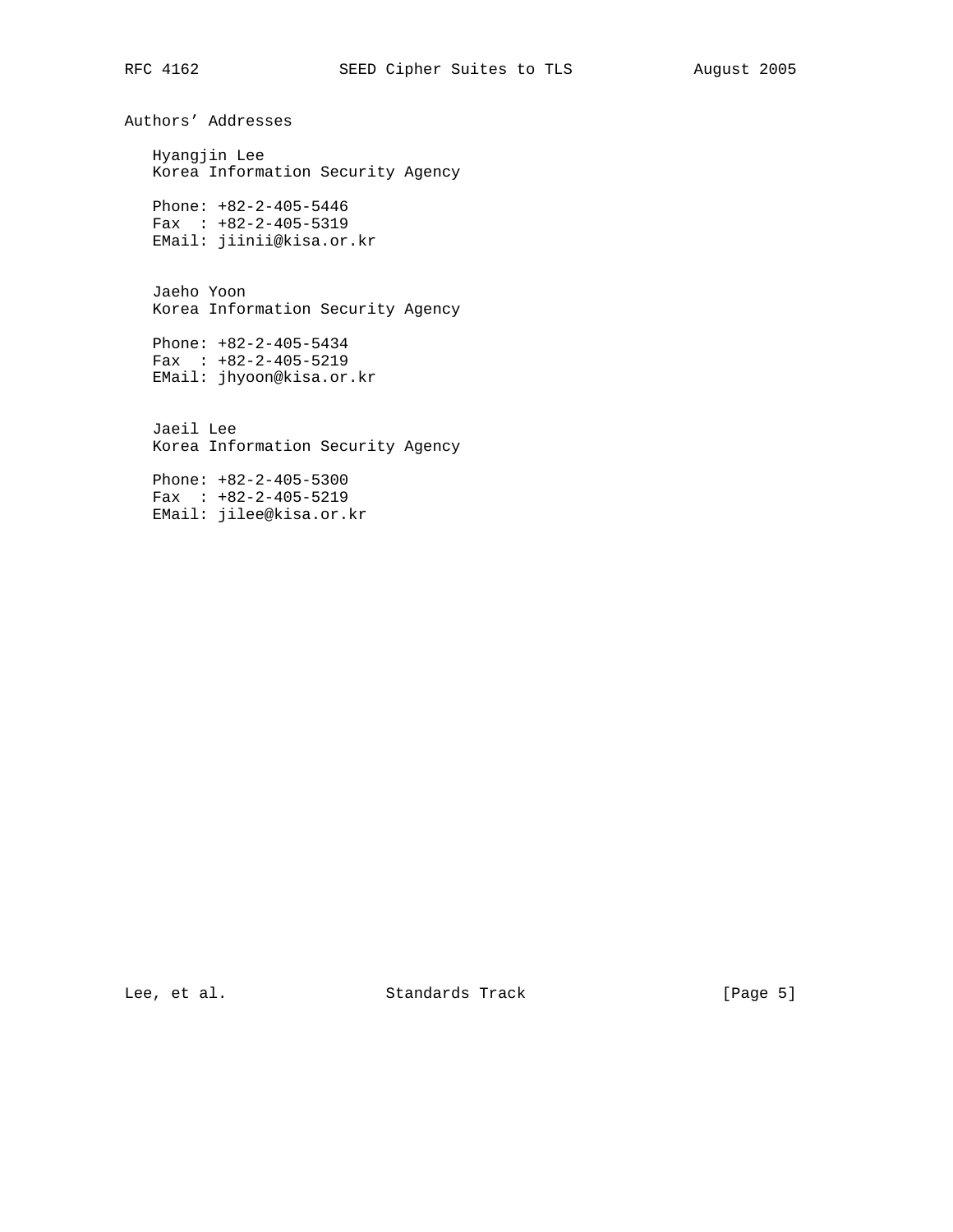Authors' Addresses Hyangjin Lee Korea Information Security Agency Phone: +82-2-405-5446 Fax : +82-2-405-5319 EMail: jiinii@kisa.or.kr Jaeho Yoon Korea Information Security Agency Phone: +82-2-405-5434 Fax : +82-2-405-5219 EMail: jhyoon@kisa.or.kr Jaeil Lee Korea Information Security Agency Phone: +82-2-405-5300 Fax : +82-2-405-5219 EMail: jilee@kisa.or.kr

Lee, et al. Standards Track [Page 5]